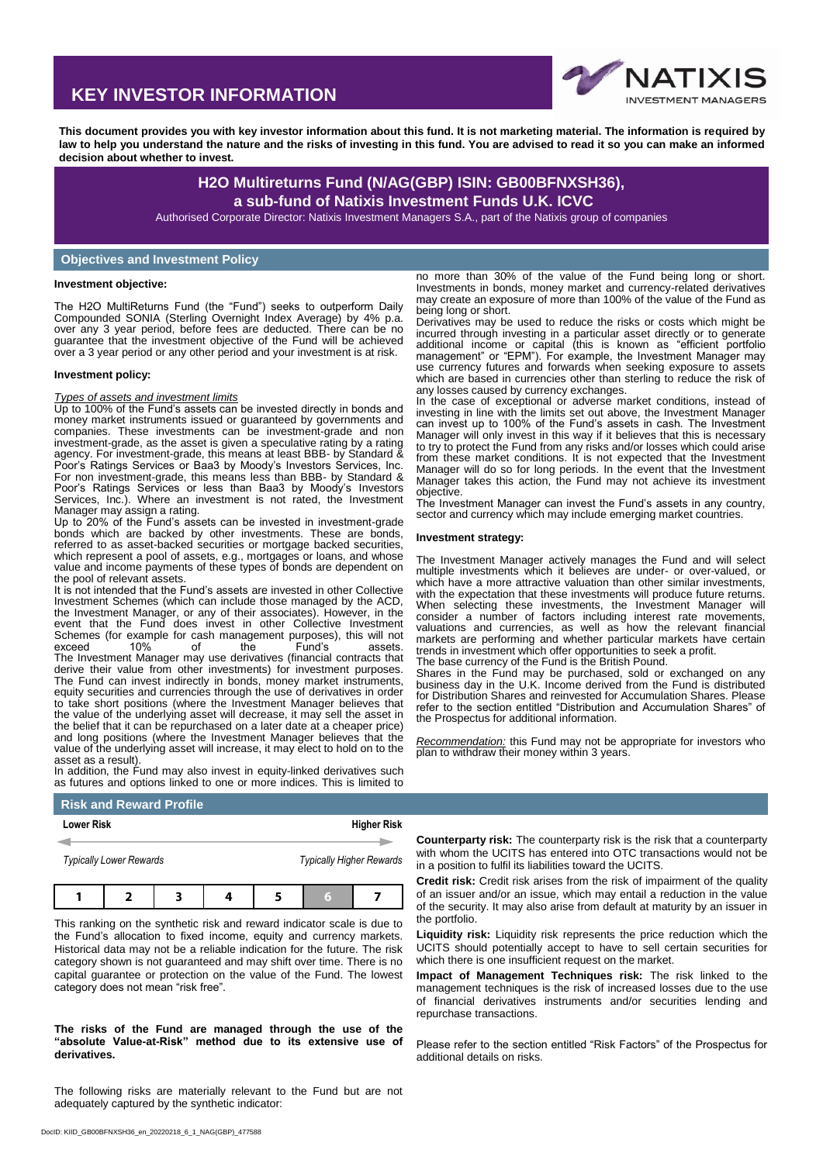# **KEY INVESTOR INFORMATION**



**This document provides you with key investor information about this fund. It is not marketing material. The information is required by law to help you understand the nature and the risks of investing in this fund. You are advised to read it so you can make an informed decision about whether to invest.**

# **H2O Multireturns Fund (N/AG(GBP) ISIN: GB00BFNXSH36), a sub-fund of Natixis Investment Funds U.K. ICVC**

Authorised Corporate Director: Natixis Investment Managers S.A., part of the Natixis group of companies

# **Objectives and Investment Policy**

#### **Investment objective:**

The H2O MultiReturns Fund (the "Fund") seeks to outperform Daily Compounded SONIA (Sterling Overnight Index Average) by 4% p.a. over any 3 year period, before fees are deducted. There can be no guarantee that the investment objective of the Fund will be achieved over a 3 year period or any other period and your investment is at risk.

#### **Investment policy:**

#### *Types of assets and investment limits*

Up to 100% of the Fund's assets can be invested directly in bonds and money market instruments issued or guaranteed by governments and companies. These investments can be investment-grade and non investment-grade, as the asset is given a speculative rating by a rating agency. For investment-grade, this means at least BBB- by Standard & Poor's Ratings Services or Baa3 by Moody's Investors Services, Inc. For non investment-grade, this means less than BBB- by Standard & Poor's Ratings Services or less than Baa3 by Moody's Investors Services, Inc.). Where an investment is not rated, the Investment Manager may assign a rating.

Up to 20% of the Fund's assets can be invested in investment-grade bonds which are backed by other investments. These are bonds, referred to as asset-backed securities or mortgage backed securities, which represent a pool of assets, e.g., mortgages or loans, and whose value and income payments of these types of bonds are dependent on the pool of relevant assets.

It is not intended that the Fund's assets are invested in other Collective Investment Schemes (which can include those managed by the ACD, the Investment Manager, or any of their associates). However, in the event that the Fund does invest in other Collective Investment Schemes (for example for cash management purposes), this will not exceed 10% of the Fund's assets. exceed 10% of the Fund's assets. The Investment Manager may use derivatives (financial contracts that derive their value from other investments) for investment purposes. The Fund can invest indirectly in bonds, money market instruments, equity securities and currencies through the use of derivatives in order to take short positions (where the Investment Manager believes that the value of the underlying asset will decrease, it may sell the asset in the belief that it can be repurchased on a later date at a cheaper price) and long positions (where the Investment Manager believes that the value of the underlying asset will increase, it may elect to hold on to the asset as a result).

In addition, the Fund may also invest in equity-linked derivatives such as futures and options linked to one or more indices. This is limited to

no more than 30% of the value of the Fund being long or short. Investments in bonds, money market and currency-related derivatives may create an exposure of more than 100% of the value of the Fund as being long or short.

Derivatives may be used to reduce the risks or costs which might be incurred through investing in a particular asset directly or to generate additional income or capital (this is known as "efficient portfolio management" or "EPM"). For example, the Investment Manager may use currency futures and forwards when seeking exposure to assets which are based in currencies other than sterling to reduce the risk of any losses caused by currency exchanges.

In the case of exceptional or adverse market conditions, instead of investing in line with the limits set out above, the Investment Manager can invest up to 100% of the Fund's assets in cash. The Investment Manager will only invest in this way if it believes that this is necessary to try to protect the Fund from any risks and/or losses which could arise from these market conditions. It is not expected that the Investment Manager will do so for long periods. In the event that the Investment Manager takes this action, the Fund may not achieve its investment objective.

The Investment Manager can invest the Fund's assets in any country, sector and currency which may include emerging market countries.

#### **Investment strategy:**

The Investment Manager actively manages the Fund and will select multiple investments which it believes are under- or over-valued, or which have a more attractive valuation than other similar investments. with the expectation that these investments will produce future returns. When selecting these investments, the Investment Manager will consider a number of factors including interest rate movements, valuations and currencies, as well as how the relevant financial markets are performing and whether particular markets have certain trends in investment which offer opportunities to seek a profit. The base currency of the Fund is the British Pound.

Shares in the Fund may be purchased, sold or exchanged on any business day in the U.K. Income derived from the Fund is distributed for Distribution Shares and reinvested for Accumulation Shares. Please refer to the section entitled "Distribution and Accumulation Shares" of the Prospectus for additional information.

*Recommendation:* this Fund may not be appropriate for investors who plan to withdraw their money within 3 years.

# **Risk and Reward Profile**

| <b>Lower Risk</b>              |  |  | <b>Higher Risk</b> |                                 |  |  |  |
|--------------------------------|--|--|--------------------|---------------------------------|--|--|--|
|                                |  |  |                    |                                 |  |  |  |
| <b>Typically Lower Rewards</b> |  |  |                    | <b>Typically Higher Rewards</b> |  |  |  |
|                                |  |  |                    |                                 |  |  |  |
|                                |  |  |                    |                                 |  |  |  |

This ranking on the synthetic risk and reward indicator scale is due to the Fund's allocation to fixed income, equity and currency markets. Historical data may not be a reliable indication for the future. The risk category shown is not guaranteed and may shift over time. There is no capital guarantee or protection on the value of the Fund. The lowest category does not mean "risk free".

# **The risks of the Fund are managed through the use of the "absolute Value-at-Risk" method due to its extensive use of derivatives.**

The following risks are materially relevant to the Fund but are not adequately captured by the synthetic indicator:

**Counterparty risk:** The counterparty risk is the risk that a counterparty with whom the UCITS has entered into OTC transactions would not be in a position to fulfil its liabilities toward the UCITS.

**Credit risk:** Credit risk arises from the risk of impairment of the quality of an issuer and/or an issue, which may entail a reduction in the value of the security. It may also arise from default at maturity by an issuer in the portfolio.

**Liquidity risk:** Liquidity risk represents the price reduction which the UCITS should potentially accept to have to sell certain securities for which there is one insufficient request on the market.

**Impact of Management Techniques risk:** The risk linked to the management techniques is the risk of increased losses due to the use of financial derivatives instruments and/or securities lending and repurchase transactions.

Please refer to the section entitled "Risk Factors" of the Prospectus for additional details on risks.